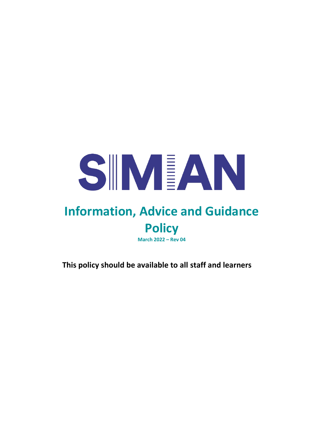

# **Information, Advice and Guidance Policy**

**March 2022 – Rev 04**

**This policy should be available to all staff and learners**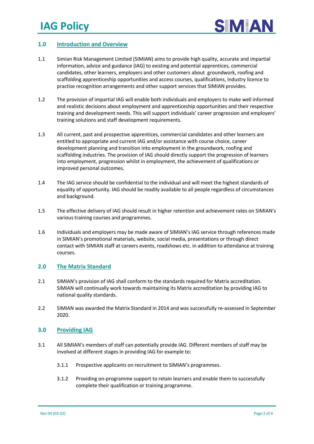

# **1.0 Introduction and Overview**

- 1.1 Simian Risk Management Limited (SIMIAN) aims to provide high quality, accurate and impartial information, advice and guidance (IAG) to existing and potential apprentices, commercial candidates, other learners, employers and other customers about groundwork, roofing and scaffolding apprenticeship opportunities and access courses, qualifications, industry licence to practise recognition arrangements and other support services that SIMIAN provides.
- 1.2 The provision of impartial IAG will enable both individuals and employers to make well informed and realistic decisions about employment and apprenticeship opportunities and their respective training and development needs. This will support individuals' career progression and employers' training solutions and staff development requirements.
- 1.3 All current, past and prospective apprentices, commercial candidates and other learners are entitled to appropriate and current IAG and/or assistance with course choice, career development planning and transition into employment in the groundwork, roofing and scaffolding industries. The provision of IAG should directly support the progression of learners into employment, progression whilst in employment, the achievement of qualifications or improved personal outcomes.
- 1.4 The IAG service should be confidential to the individual and will meet the highest standards of equality of opportunity. IAG should be readily available to all people regardless of circumstances and background.
- 1.5 The effective delivery of IAG should result in higher retention and achievement rates on SIMIAN's various training courses and programmes.
- 1.6 Individuals and employers may be made aware of SIMIAN's IAG service through references made in SIMIAN's promotional materials, website, social media, presentations or through direct contact with SIMIAN staff at careers events, roadshows etc. in addition to attendance at training courses.

#### **2.0 The Matrix Standard**

- 2.1 SIMIAN's provision of IAG shall conform to the standards required for Matrix accreditation. SIMIAN will continually work towards maintaining its Matrix accreditation by providing IAG to national quality standards.
- 2.2 SIMIAN was awarded the Matrix Standard in 2014 and was successfully re-assessed in September 2020.

#### **3.0 Providing IAG**

- 3.1 All SIMIAN's members of staff can potentially provide IAG. Different members of staff may be involved at different stages in providing IAG for example to:
	- 3.1.1 Prospective applicants on recruitment to SIMIAN's programmes.
	- 3.1.2 Providing on-programme support to retain learners and enable them to successfully complete their qualification or training programme.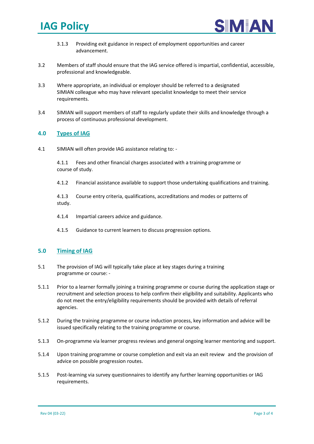



- 3.1.3 Providing exit guidance in respect of employment opportunities and career advancement.
- 3.2 Members of staff should ensure that the IAG service offered is impartial, confidential, accessible, professional and knowledgeable.
- 3.3 Where appropriate, an individual or employer should be referred to a designated SIMIAN colleague who may have relevant specialist knowledge to meet their service requirements.
- 3.4 SIMIAN will support members of staff to regularly update their skills and knowledge through a process of continuous professional development.

### **4.0 Types of IAG**

4.1 SIMIAN will often provide IAG assistance relating to: -

4.1.1 Fees and other financial charges associated with a training programme or course of study.

4.1.2 Financial assistance available to support those undertaking qualifications and training.

4.1.3 Course entry criteria, qualifications, accreditations and modes or patterns of study.

- 4.1.4 Impartial careers advice and guidance.
- 4.1.5 Guidance to current learners to discuss progression options.

# **5.0 Timing of IAG**

- 5.1 The provision of IAG will typically take place at key stages during a training programme or course: -
- 5.1.1 Prior to a learner formally joining a training programme or course during the application stage or recruitment and selection process to help confirm their eligibility and suitability. Applicants who do not meet the entry/eligibility requirements should be provided with details of referral agencies.
- 5.1.2 During the training programme or course induction process, key information and advice will be issued specifically relating to the training programme or course.
- 5.1.3 On-programme via learner progress reviews and general ongoing learner mentoring and support.
- 5.1.4 Upon training programme or course completion and exit via an exit review and the provision of advice on possible progression routes.
- 5.1.5 Post-learning via survey questionnaires to identify any further learning opportunities or IAG requirements.